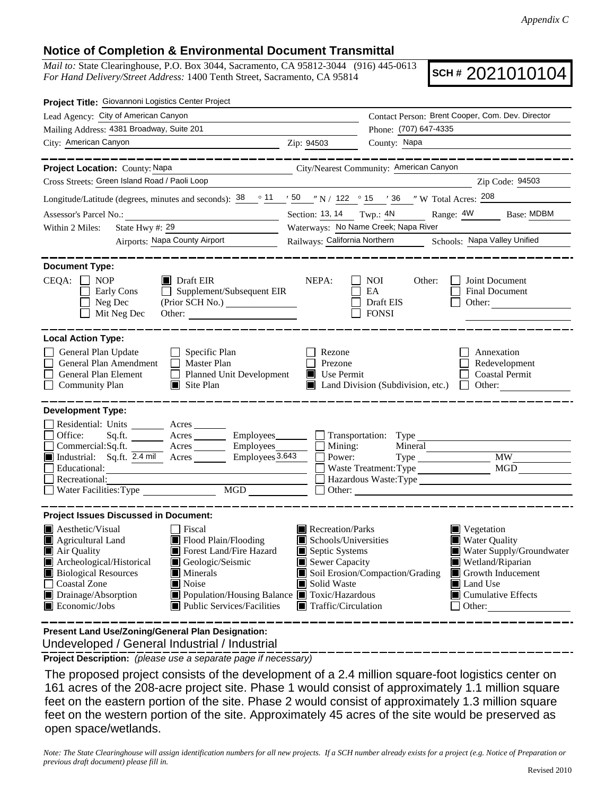## **Notice of Completion & Environmental Document Transmittal**

*Mail to:* State Clearinghouse, P.O. Box 3044, Sacramento, CA 95812-3044 (916) 445-0613 *For Hand Delivery/Street Address:* 1400 Tenth Street, Sacramento, CA 95814

**SCH #** 2021010104

| Project Title: Giovannoni Logistics Center Project                                                                                                                                                                                                                                                         |                                                                                                           |                                                  |                                                                                                                                              |  |  |
|------------------------------------------------------------------------------------------------------------------------------------------------------------------------------------------------------------------------------------------------------------------------------------------------------------|-----------------------------------------------------------------------------------------------------------|--------------------------------------------------|----------------------------------------------------------------------------------------------------------------------------------------------|--|--|
| Lead Agency: City of American Canyon                                                                                                                                                                                                                                                                       | Contact Person: Brent Cooper, Com. Dev. Director                                                          |                                                  |                                                                                                                                              |  |  |
| Mailing Address: 4381 Broadway, Suite 201                                                                                                                                                                                                                                                                  |                                                                                                           | Phone: (707) 647-4335                            |                                                                                                                                              |  |  |
| City: American Canyon                                                                                                                                                                                                                                                                                      | Zip: 94503                                                                                                | County: Napa                                     |                                                                                                                                              |  |  |
| . __ _ _ _ _ _ _ _ _ _ _                                                                                                                                                                                                                                                                                   |                                                                                                           |                                                  |                                                                                                                                              |  |  |
| Project Location: County: Napa                                                                                                                                                                                                                                                                             |                                                                                                           | City/Nearest Community: American Canyon          |                                                                                                                                              |  |  |
| Cross Streets: Green Island Road / Paoli Loop                                                                                                                                                                                                                                                              |                                                                                                           |                                                  | Zip Code: 94503                                                                                                                              |  |  |
| Longitude/Latitude (degrees, minutes and seconds): $\frac{38}{11}$ $\frac{11}{10}$ $\frac{50}{10}$ $\frac{11}{10}$ $\frac{1}{10}$ 122 $\degree$ 15 $\degree$ 136 $\degree$ W Total Acres: $\frac{208}{10}$                                                                                                 |                                                                                                           |                                                  |                                                                                                                                              |  |  |
| Assessor's Parcel No.:<br><u> 1989 - Johann Barbara, martin a</u>                                                                                                                                                                                                                                          |                                                                                                           |                                                  | Section: 13, 14 Twp.: 4N Range: 4W Base: MDBM                                                                                                |  |  |
| State Hwy #: $29$<br>Within 2 Miles:                                                                                                                                                                                                                                                                       | Waterways: No Name Creek; Napa River                                                                      |                                                  |                                                                                                                                              |  |  |
| Airports: Napa County Airport                                                                                                                                                                                                                                                                              | Railways: California Northern Schools: Napa Valley Unified                                                |                                                  |                                                                                                                                              |  |  |
| <b>Document Type:</b><br>$CEQA: \Box NOP$<br>$\blacksquare$ Draft EIR<br>$\Box$ Supplement/Subsequent EIR<br>Early Cons<br>Neg Dec<br>Mit Neg Dec                                                                                                                                                          | NEPA:                                                                                                     | NOI<br>Other:<br>EA<br>Draft EIS<br><b>FONSI</b> | Joint Document<br><b>Final Document</b><br>Other:                                                                                            |  |  |
| <b>Local Action Type:</b><br>General Plan Update<br>$\Box$ Specific Plan<br>General Plan Amendment<br>$\Box$ Master Plan<br>General Plan Element<br>Planned Unit Development<br><b>Community Plan</b><br>$\Box$ Site Plan                                                                                  | Rezone<br>Prezone<br>Use Permit                                                                           | Land Division (Subdivision, etc.)                | Annexation<br>Redevelopment<br><b>Coastal Permit</b><br>$\Box$ Other:                                                                        |  |  |
| <b>Development Type:</b><br>Residential: Units _________ Acres _______<br>Office:<br>Acres ___________ Employees________<br>Sq.fit.<br>Commercial:Sq.ft.<br>Acres Employees<br>Employees 3.643<br>Industrial: Sq.ft. 2.4 mil Acres<br>Educational:<br>Recreational:<br>MGD                                 | Mining:<br>П<br>Power:                                                                                    | $\Box$ Transportation: Type<br>Mineral           | <b>MW</b><br>MGD<br>Other:                                                                                                                   |  |  |
| <b>Project Issues Discussed in Document:</b><br><b>A</b> esthetic/Visual<br>  Fiscal<br>Agricultural Land<br>Flood Plain/Flooding                                                                                                                                                                          | Recreation/Parks<br>Schools/Universities                                                                  |                                                  | Vegetation<br><b>Water Quality</b>                                                                                                           |  |  |
| Forest Land/Fire Hazard<br>■ Air Quality<br>Archeological/Historical<br>Geologic/Seismic<br><b>Biological Resources</b><br>$\blacksquare$ Minerals<br><b>Coastal Zone</b><br>Noise<br>Drainage/Absorption<br>■ Population/Housing Balance ■ Toxic/Hazardous<br>Economic/Jobs<br>Public Services/Facilities | Septic Systems<br>Sewer Capacity<br>Soil Erosion/Compaction/Grading<br>Solid Waste<br>Traffic/Circulation |                                                  | $\blacksquare$ Water Supply/Groundwater<br>Wetland/Riparian<br>Growth Inducement<br><b>I</b> Land Use<br>$\Box$ Cumulative Effects<br>Other: |  |  |

 Undeveloped / General Industrial / Industrial **Present Land Use/Zoning/General Plan Designation:**

**Project Description:** *(please use a separate page if necessary)*

 The proposed project consists of the development of a 2.4 million square-foot logistics center on 161 acres of the 208-acre project site. Phase 1 would consist of approximately 1.1 million square feet on the eastern portion of the site. Phase 2 would consist of approximately 1.3 million square feet on the western portion of the site. Approximately 45 acres of the site would be preserved as open space/wetlands.

*Note: The State Clearinghouse will assign identification numbers for all new projects. If a SCH number already exists for a project (e.g. Notice of Preparation or previous draft document) please fill in.*